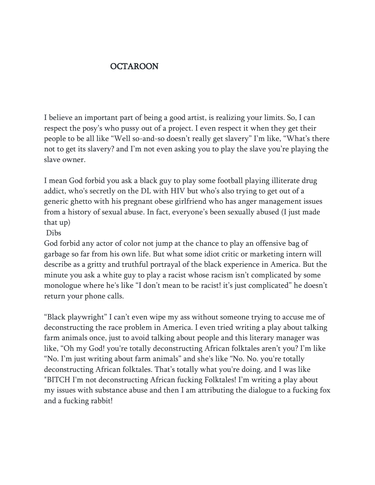## **OCTAROON**

I believe an important part of being a good artist, is realizing your limits. So, I can respect the posy's who pussy out of a project. I even respect it when they get their people to be all like "Well so-and-so doesn't really get slavery" I'm like, "What's there not to get its slavery? and I'm not even asking you to play the slave you're playing the slave owner.

I mean God forbid you ask a black guy to play some football playing illiterate drug addict, who's secretly on the DL with HIV but who's also trying to get out of a generic ghetto with his pregnant obese girlfriend who has anger management issues from a history of sexual abuse. In fact, everyone's been sexually abused (I just made that up)

## Dibs

God forbid any actor of color not jump at the chance to play an offensive bag of garbage so far from his own life. But what some idiot critic or marketing intern will describe as a gritty and truthful portrayal of the black experience in America. But the minute you ask a white guy to play a racist whose racism isn't complicated by some monologue where he's like "I don't mean to be racist! it's just complicated" he doesn't return your phone calls.

"Black playwright" I can't even wipe my ass without someone trying to accuse me of deconstructing the race problem in America. I even tried writing a play about talking farm animals once, just to avoid talking about people and this literary manager was like, "Oh my God! you're totally deconstructing African folktales aren't you? I'm like "No. I'm just writing about farm animals" and she's like "No. No. you're totally deconstructing African folktales. That's totally what you're doing. and I was like "BITCH I'm not deconstructing African fucking Folktales! I'm writing a play about my issues with substance abuse and then I am attributing the dialogue to a fucking fox and a fucking rabbit!